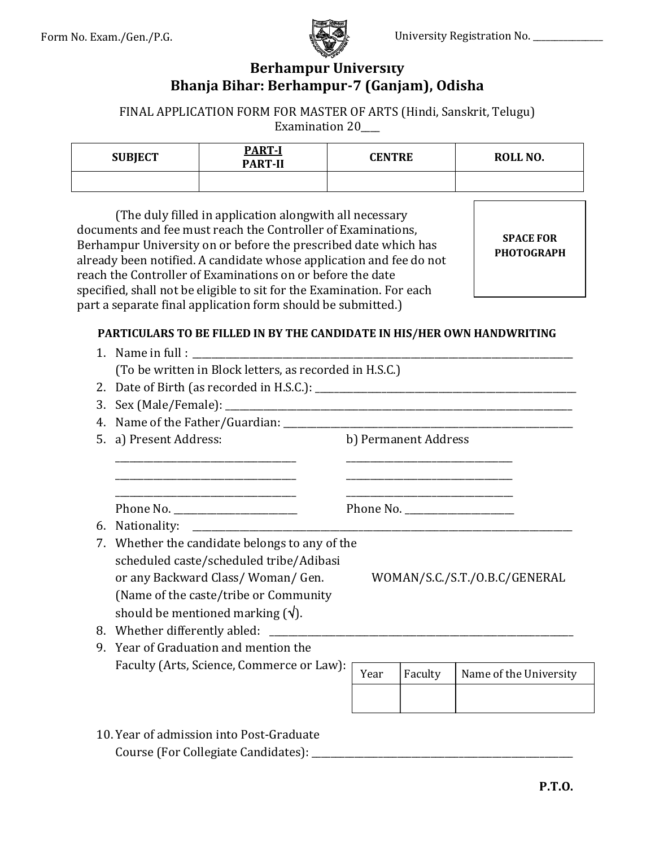

### **Berhampur University Bhanja Bihar: Berhampur-7 (Ganjam), Odisha**

FINAL APPLICATION FORM FOR MASTER OF ARTS (Hindi, Sanskrit, Telugu) Examination 20\_\_\_\_

| <b>SUBJECT</b> | <b>PART-I</b><br><b>PART-II</b> | <b>CENTRE</b> | ROLL NO. |
|----------------|---------------------------------|---------------|----------|
|                |                                 |               |          |

(The duly filled in application alongwith all necessary documents and fee must reach the Controller of Examinations, Berhampur University on or before the prescribed date which has already been notified. A candidate whose application and fee do not reach the Controller of Examinations on or before the date specified, shall not be eligible to sit for the Examination. For each part a separate final application form should be submitted.)

**SPACE FOR PHOTOGRAPH**

#### **PARTICULARS TO BE FILLED IN BY THE CANDIDATE IN HIS/HER OWN HANDWRITING**

|                                  | (To be written in Block letters, as recorded in H.S.C.)                                                                                                                                                             |                               |                      |                        |  |  |
|----------------------------------|---------------------------------------------------------------------------------------------------------------------------------------------------------------------------------------------------------------------|-------------------------------|----------------------|------------------------|--|--|
|                                  |                                                                                                                                                                                                                     |                               |                      |                        |  |  |
| 3.                               |                                                                                                                                                                                                                     |                               |                      |                        |  |  |
|                                  |                                                                                                                                                                                                                     |                               |                      |                        |  |  |
|                                  | 5. a) Present Address:                                                                                                                                                                                              |                               | b) Permanent Address |                        |  |  |
|                                  | <u> 1989 - Johann Stoff, deutscher Stoff, der Stoff, der Stoff, der Stoff, der Stoff, der Stoff, der Stoff, der S</u>                                                                                               |                               |                      |                        |  |  |
| Phone No. ______________________ |                                                                                                                                                                                                                     |                               |                      |                        |  |  |
| 6.                               |                                                                                                                                                                                                                     |                               |                      |                        |  |  |
|                                  | 7. Whether the candidate belongs to any of the<br>scheduled caste/scheduled tribe/Adibasi<br>or any Backward Class/Woman/Gen.<br>(Name of the caste/tribe or Community<br>should be mentioned marking $(\sqrt{)}$ . | WOMAN/S.C./S.T./O.B.C/GENERAL |                      |                        |  |  |
|                                  |                                                                                                                                                                                                                     |                               |                      |                        |  |  |
|                                  | 9. Year of Graduation and mention the                                                                                                                                                                               |                               |                      |                        |  |  |
|                                  | Faculty (Arts, Science, Commerce or Law):                                                                                                                                                                           | Year                          | Faculty              | Name of the University |  |  |
|                                  |                                                                                                                                                                                                                     |                               |                      |                        |  |  |
|                                  | 10. Year of admission into Post-Graduate<br>Course (For Collegiate Candidates): __                                                                                                                                  |                               |                      |                        |  |  |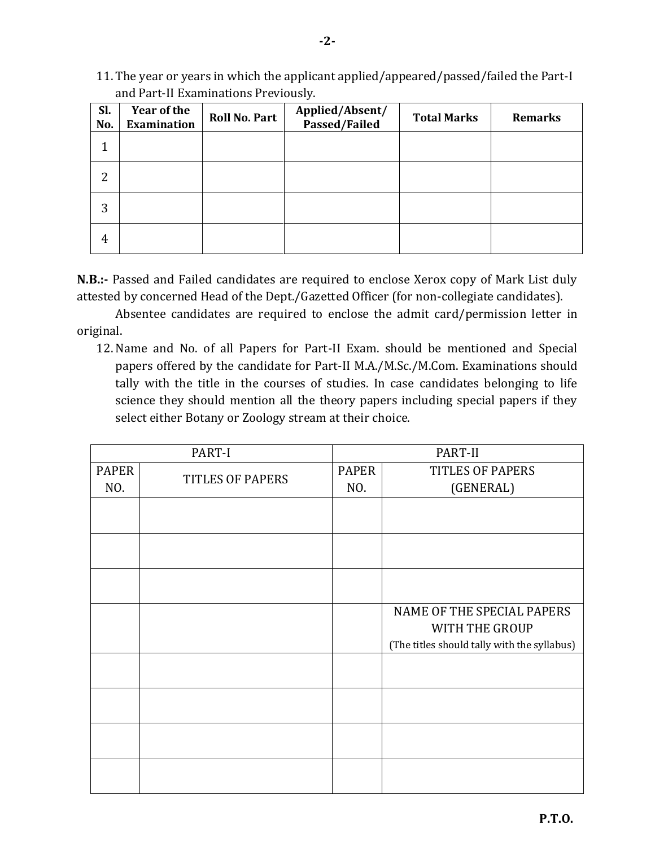11. The year or years in which the applicant applied/appeared/passed/failed the Part-I and Part-II Examinations Previously.

| Sl.<br>No.     | Year of the<br><b>Examination</b> | <b>Roll No. Part</b> | Applied/Absent/<br>Passed/Failed | <b>Total Marks</b> | <b>Remarks</b> |
|----------------|-----------------------------------|----------------------|----------------------------------|--------------------|----------------|
| 1              |                                   |                      |                                  |                    |                |
| $\overline{2}$ |                                   |                      |                                  |                    |                |
| 3              |                                   |                      |                                  |                    |                |
| 4              |                                   |                      |                                  |                    |                |

**N.B.:-** Passed and Failed candidates are required to enclose Xerox copy of Mark List duly attested by concerned Head of the Dept./Gazetted Officer (for non-collegiate candidates).

Absentee candidates are required to enclose the admit card/permission letter in original.

12. Name and No. of all Papers for Part-II Exam. should be mentioned and Special papers offered by the candidate for Part-II M.A./M.Sc./M.Com. Examinations should tally with the title in the courses of studies. In case candidates belonging to life science they should mention all the theory papers including special papers if they select either Botany or Zoology stream at their choice.

| PART-I       |                         | PART-II             |                                             |  |
|--------------|-------------------------|---------------------|---------------------------------------------|--|
| <b>PAPER</b> | <b>TITLES OF PAPERS</b> | <b>PAPER</b><br>NO. | <b>TITLES OF PAPERS</b>                     |  |
|              | NO.                     |                     | (GENERAL)                                   |  |
|              |                         |                     |                                             |  |
|              |                         |                     |                                             |  |
|              |                         |                     |                                             |  |
|              |                         |                     | NAME OF THE SPECIAL PAPERS                  |  |
|              |                         |                     | WITH THE GROUP                              |  |
|              |                         |                     | (The titles should tally with the syllabus) |  |
|              |                         |                     |                                             |  |
|              |                         |                     |                                             |  |
|              |                         |                     |                                             |  |
|              |                         |                     |                                             |  |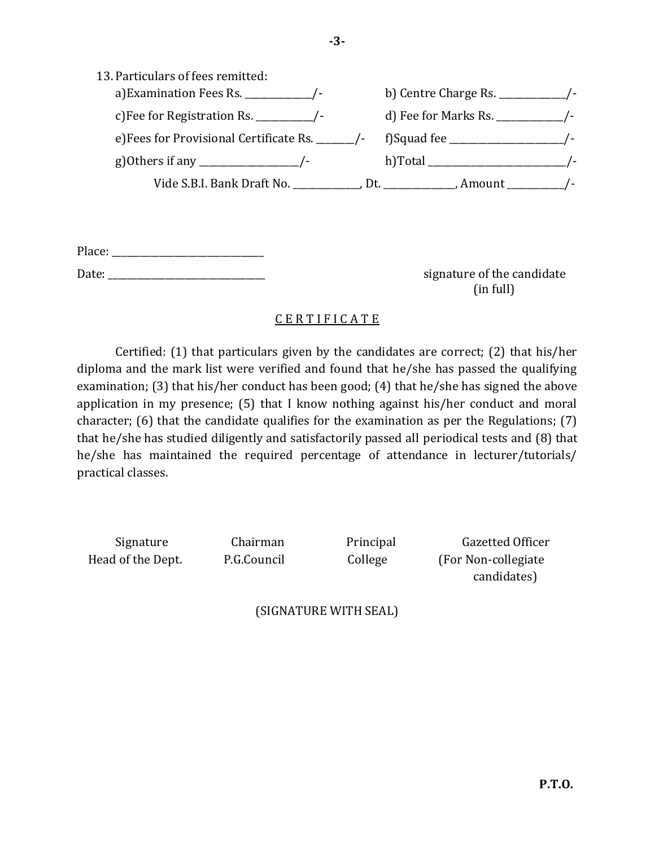| 13. Particulars of fees remitted:               |                                              |
|-------------------------------------------------|----------------------------------------------|
| a) Examination Fees Rs. $\frac{1}{2}$ /-        | b) Centre Charge Rs. $\frac{1}{2}$ /-        |
| c) Fee for Registration Rs. $\frac{1}{2}$ /-    |                                              |
| e)Fees for Provisional Certificate Rs. ______/- | f)Squad fee _______________________          |
|                                                 |                                              |
|                                                 | Dt. $\qquad \qquad$ , Amount $\qquad \qquad$ |

Place: \_\_\_\_\_\_\_\_\_\_\_\_\_\_\_\_\_\_\_\_\_\_\_\_\_\_\_\_\_\_\_\_

Date: \_\_\_\_\_\_\_\_\_\_\_\_\_\_\_\_\_\_\_\_\_\_\_\_\_\_\_\_\_\_\_\_\_ signature of the candidate (in full)

### C E R T I F I C A T E

Certified: (1) that particulars given by the candidates are correct; (2) that his/her diploma and the mark list were verified and found that he/she has passed the qualifying examination; (3) that his/her conduct has been good; (4) that he/she has signed the above application in my presence; (5) that I know nothing against his/her conduct and moral character; (6) that the candidate qualifies for the examination as per the Regulations; (7) that he/she has studied diligently and satisfactorily passed all periodical tests and (8) that he/she has maintained the required percentage of attendance in lecturer/tutorials/ practical classes.

Signature Chairman Principal Gazetted Officer Head of the Dept. P.G.Council College (For Non-collegiate candidates)

(SIGNATURE WITH SEAL)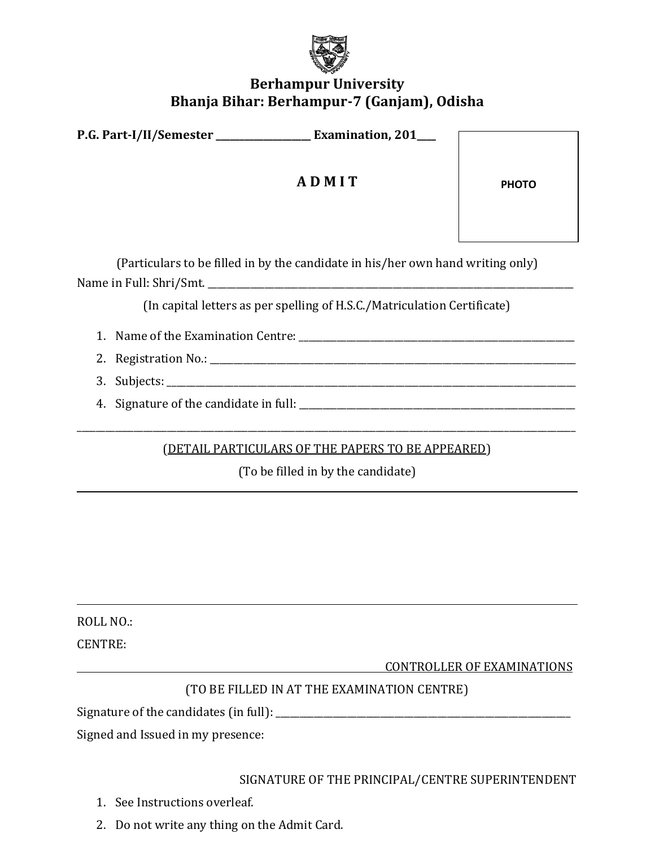

## **Berhampur University Bhanja Bihar: Berhampur-7 (Ganjam), Odisha**

| P.G. Part-I/II/Semester __________________ Examination, 201___                  |                                                                          |              |  |  |  |
|---------------------------------------------------------------------------------|--------------------------------------------------------------------------|--------------|--|--|--|
|                                                                                 | ADMIT                                                                    | <b>PHOTO</b> |  |  |  |
| (Particulars to be filled in by the candidate in his/her own hand writing only) |                                                                          |              |  |  |  |
|                                                                                 | (In capital letters as per spelling of H.S.C./Matriculation Certificate) |              |  |  |  |
|                                                                                 |                                                                          |              |  |  |  |
|                                                                                 |                                                                          |              |  |  |  |
|                                                                                 |                                                                          |              |  |  |  |
|                                                                                 |                                                                          |              |  |  |  |
|                                                                                 |                                                                          |              |  |  |  |
|                                                                                 | <u>(DETAIL PARTICULARS OF THE PAPERS TO BE APPEARED)</u>                 |              |  |  |  |
|                                                                                 | (To be filled in by the candidate)                                       |              |  |  |  |

ROLL NO.:

CENTRE:

CONTROLLER OF EXAMINATIONS

# (TO BE FILLED IN AT THE EXAMINATION CENTRE)

Signature of the candidates (in full): \_\_\_\_\_\_\_\_\_\_\_\_\_\_\_\_\_\_\_\_\_\_\_\_\_\_\_\_\_\_\_\_\_\_\_\_\_\_\_\_\_\_\_\_\_\_\_\_\_\_\_\_\_\_\_\_\_\_\_\_\_\_

Signed and Issued in my presence:

SIGNATURE OF THE PRINCIPAL/CENTRE SUPERINTENDENT

- 1. See Instructions overleaf.
- 2. Do not write any thing on the Admit Card.